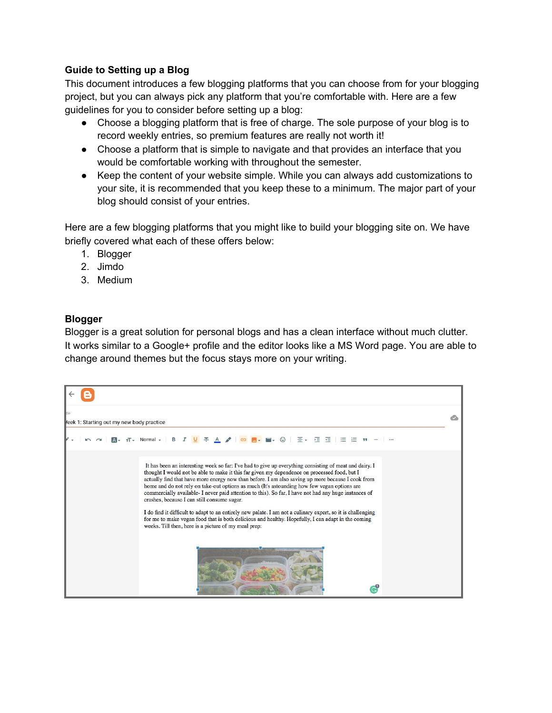## **Guide to Setting up a Blog**

This document introduces a few blogging platforms that you can choose from for your blogging project, but you can always pick any platform that you're comfortable with. Here are a few guidelines for you to consider before setting up a blog:

- Choose a blogging platform that is free of charge. The sole purpose of your blog is to record weekly entries, so premium features are really not worth it!
- Choose a platform that is simple to navigate and that provides an interface that you would be comfortable working with throughout the semester.
- Keep the content of your website simple. While you can always add customizations to your site, it is recommended that you keep these to a minimum. The major part of your blog should consist of your entries.

Here are a few blogging platforms that you might like to build your blogging site on. We have briefly covered what each of these offers below:

- 1. Blogger
- 2. Jimdo
- 3. Medium

## **Blogger**

Blogger is a great solution for personal blogs and has a clean interface without much clutter. It works similar to a Google+ profile and the editor looks like a MS Word page. You are able to change around themes but the focus stays more on your writing.

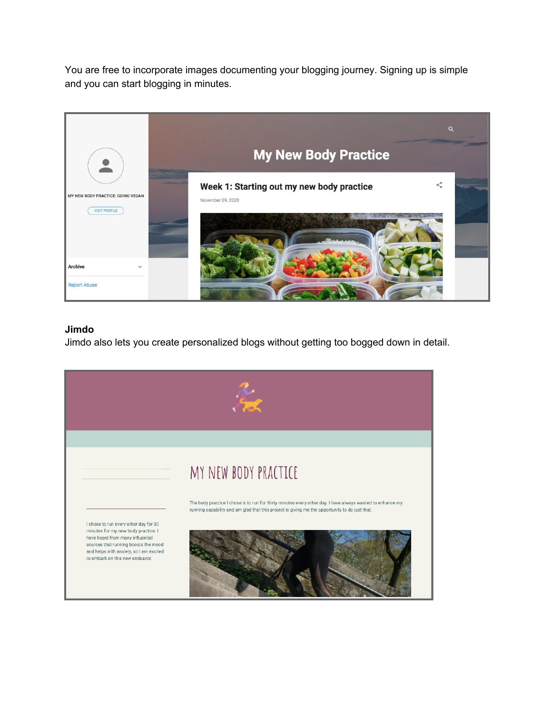You are free to incorporate images documenting your blogging journey. Signing up is simple and you can start blogging in minutes.



## **Jimdo**

Jimdo also lets you create personalized blogs without getting too bogged down in detail.